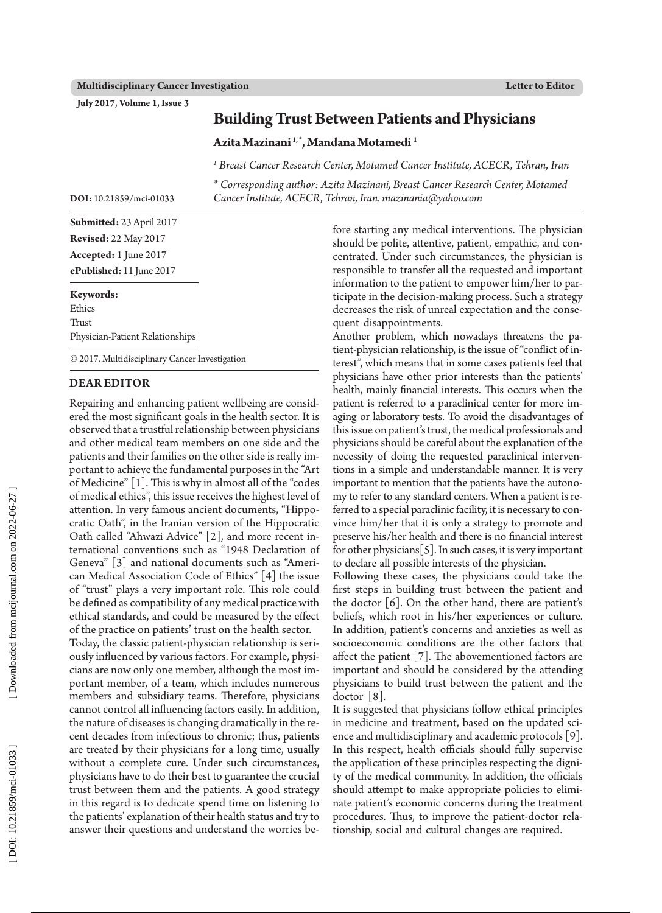**July 2017, Volume 1, Issue 3**

## **Building Trust Between Patients and Physicians**

**Azita Mazinani 1, \*, Mandana Motamedi 1**

<sup>1</sup> Breast Cancer Research Center, Motamed Cancer Institute, ACECR, Tehran, Iran

*\* Corresponding author: Azita Mazinani, Breast Cancer Research Center, Motamed Cancer Institute, ACECR, Tehran, Iran. mazinania@yahoo.com*

**Submitted:** 23 April 2017 **Revised:** 22 May 2017

**DOI:** 10.21859/mci-01033

**Accepted:**  1 June 2017 **ePublished:** 11 June 2017

## **Keywords:**

Ethics Trust Physician-Patient Relationships

© 2017. Multidisciplinary Cancer Investigation

## **Dear Editor**

Repairing and enhancing patient wellbeing are consid ered the most significant goals in the health sector. It is observed that a trustful relationship between physicians and other medical team members on one side and the patients and their families on the other side is really im portant to achieve the fundamental purposes in the "Art of Medicine" [1]. This is why in almost all of the "codes of medical ethics", this issue receives the highest level of attention. In very famous ancient documents, "Hippo cratic Oath", in the Iranian version of the Hippocratic Oath called "Ahwazi Advice" [2], and more recent in ternational conventions such as "1948 Declaration of Geneva" [3] and national documents such as "Ameri can Medical Association Code of Ethics" [4] the issue of "trust" plays a very important role. This role could be defined as compatibility of any medical practice with ethical standards, and could be measured by the effect of the practice on patients' trust on the health sector.

Today, the classic patient-physician relationship is seri ously influenced by various factors. For example, physi cians are now only one member, although the most im portant member, of a team, which includes numerous members and subsidiary teams. Therefore, physicians cannot control all influencing factors easily. In addition, the nature of diseases is changing dramatically in the re cent decades from infectious to chronic; thus, patients are treated by their physicians for a long time, usually without a complete cure. Under such circumstances, physicians have to do their best to guarantee the crucial trust between them and the patients. A good strategy in this regard is to dedicate spend time on listening to the patients' explanation of their health status and try to answer their questions and understand the worries be -

fore starting any medical interventions. The physician should be polite, attentive, patient, empathic, and con centrated. Under such circumstances, the physician is responsible to transfer all the requested and important information to the patient to empower him/her to par ticipate in the decision-making process. Such a strategy decreases the risk of unreal expectation and the conse quent disappointments.

Another problem, which nowadays threatens the pa tient-physician relationship, is the issue of "conflict of in terest", which means that in some cases patients feel that physicians have other prior interests than the patients' health, mainly financial interests. This occurs when the patient is referred to a paraclinical center for more im aging or laboratory tests. To avoid the disadvantages of this issue on patient's trust, the medical professionals and physicians should be careful about the explanation of the necessity of doing the requested paraclinical interven tions in a simple and understandable manner. It is very important to mention that the patients have the autono my to refer to any standard centers. When a patient is re ferred to a special paraclinic facility, it is necessary to con vince him/her that it is only a strategy to promote and preserve his/her health and there is no financial interest for other physicians  $[5]$ . In such cases, it is very important to declare all possible interests of the physician.

Following these cases, the physicians could take the first steps in building trust between the patient and the doctor [6]. On the other hand, there are patient's beliefs, which root in his/her experiences or culture. In addition, patient's concerns and anxieties as well as socioeconomic conditions are the other factors that affect the patient [7]. The abovementioned factors are important and should be considered by the attending physicians to build trust between the patient and the doctor [8].

It is suggested that physicians follow ethical principles in medicine and treatment, based on the updated sci ence and multidisciplinary and academic protocols [9]. In this respect, health officials should fully supervise the application of these principles respecting the digni ty of the medical community. In addition, the officials should attempt to make appropriate policies to elimi nate patient's economic concerns during the treatment procedures. Thus, to improve the patient-doctor rela tionship, social and cultural changes are required.